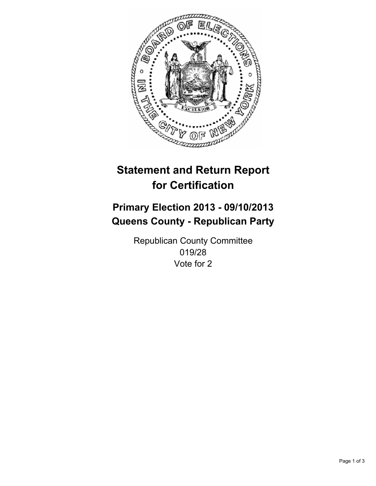

# **Statement and Return Report for Certification**

# **Primary Election 2013 - 09/10/2013 Queens County - Republican Party**

Republican County Committee 019/28 Vote for 2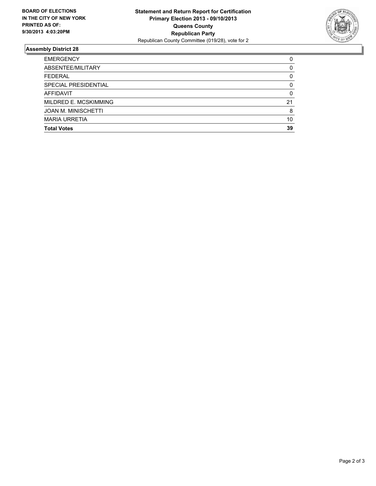

## **Assembly District 28**

| <b>EMERGENCY</b>           | 0  |
|----------------------------|----|
| ABSENTEE/MILITARY          | 0  |
| FEDERAL                    | 0  |
| SPECIAL PRESIDENTIAL       | 0  |
| AFFIDAVIT                  | 0  |
| MILDRED E. MCSKIMMING      | 21 |
| <b>JOAN M. MINISCHETTI</b> | 8  |
| <b>MARIA URRETIA</b>       | 10 |
| <b>Total Votes</b>         | 39 |